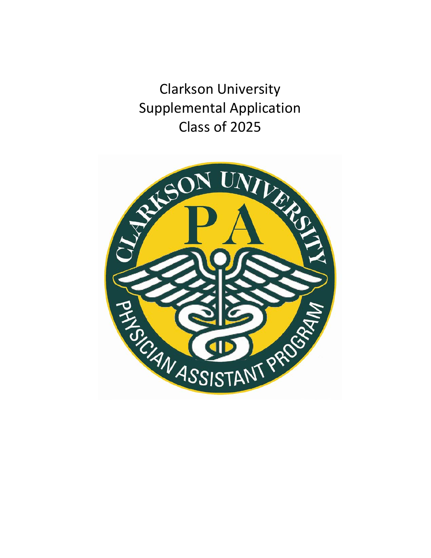Clarkson University Supplemental Application Class of 2025

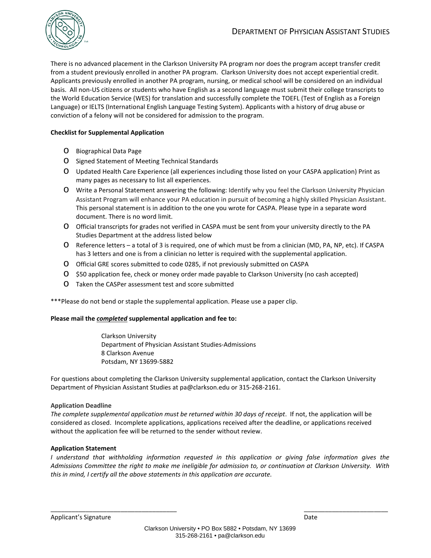

There is no advanced placement in the Clarkson University PA program nor does the program accept transfer credit from a student previously enrolled in another PA program. Clarkson University does not accept experiential credit. Applicants previously enrolled in another PA program, nursing, or medical school will be considered on an individual basis. All non-US citizens or students who have English as a second language must submit their college transcripts to the World Education Service (WES) for translation and successfully complete the TOEFL (Test of English as a Foreign Language) or IELTS (International English Language Testing System). Applicants with a history of drug abuse or conviction of a felony will not be considered for admission to the program.

### **Checklist for Supplemental Application**

- o Biographical Data Page
- o Signed Statement of Meeting Technical Standards
- o Updated Health Care Experience (all experiences including those listed on your CASPA application) Print as many pages as necessary to list all experiences.
- o Write a Personal Statement answering the following: Identify why you feel the Clarkson University Physician Assistant Program will enhance your PA education in pursuit of becoming a highly skilled Physician Assistant. This personal statement is in addition to the one you wrote for CASPA. Please type in a separate word document. There is no word limit.
- o Official transcripts for grades not verified in CASPA must be sent from your university directly to the PA Studies Department at the address listed below
- o Reference letters a total of 3 is required, one of which must be from a clinician (MD, PA, NP, etc). If CASPA has 3 letters and one is from a clinician no letter is required with the supplemental application.
- o Official GRE scores submitted to code 0285, if not previously submitted on CASPA
- o \$50 application fee, check or money order made payable to Clarkson University (no cash accepted)
- o Taken the CASPer assessment test and score submitted

\*\*\*Please do not bend or staple the supplemental application. Please use a paper clip.

#### **Please mail the** *completed* **supplemental application and fee to:**

Clarkson University Department of Physician Assistant Studies-Admissions 8 Clarkson Avenue Potsdam, NY 13699-5882

For questions about completing the Clarkson University supplemental application, contact the Clarkson University Department of Physician Assistant Studies at pa@clarkson.edu or 315-268-2161.

#### **Application Deadline**

*The complete supplemental application must be returned within 30 days of receipt*. If not, the application will be considered as closed. Incomplete applications, applications received after the deadline, or applications received without the application fee will be returned to the sender without review.

#### **Application Statement**

*I understand that withholding information requested in this application or giving false information gives the Admissions Committee the right to make me ineligible for admission to, or continuation at Clarkson University. With this in mind, I certify all the above statements in this application are accurate.* 

 $\frac{1}{2}$  , the contribution of the contribution of the contribution of the contribution of the contribution of the contribution of the contribution of the contribution of the contribution of the contribution of the contr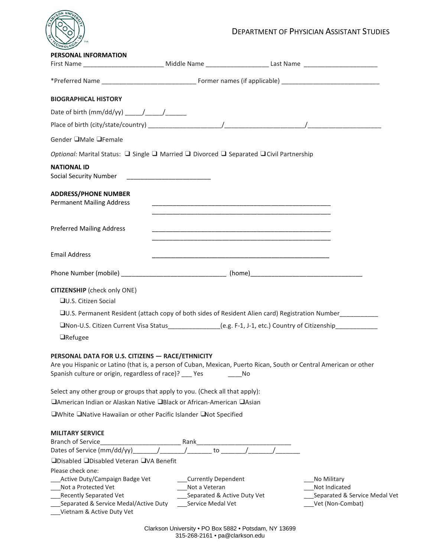

| <b>PERSONAL INFORMATION</b>                                                                                                                                                                                                                                                                                    |                                                                                                                       |                                                             |                               |
|----------------------------------------------------------------------------------------------------------------------------------------------------------------------------------------------------------------------------------------------------------------------------------------------------------------|-----------------------------------------------------------------------------------------------------------------------|-------------------------------------------------------------|-------------------------------|
|                                                                                                                                                                                                                                                                                                                |                                                                                                                       |                                                             |                               |
|                                                                                                                                                                                                                                                                                                                |                                                                                                                       |                                                             |                               |
| <b>BIOGRAPHICAL HISTORY</b>                                                                                                                                                                                                                                                                                    |                                                                                                                       |                                                             |                               |
| Date of birth (mm/dd/yy) $\frac{1}{2}$ $\frac{1}{2}$ $\frac{1}{2}$ $\frac{1}{2}$ $\frac{1}{2}$ $\frac{1}{2}$ $\frac{1}{2}$ $\frac{1}{2}$ $\frac{1}{2}$ $\frac{1}{2}$ $\frac{1}{2}$ $\frac{1}{2}$ $\frac{1}{2}$ $\frac{1}{2}$ $\frac{1}{2}$ $\frac{1}{2}$ $\frac{1}{2}$ $\frac{1}{2}$ $\frac{1}{2}$ $\frac{1}{$ |                                                                                                                       |                                                             |                               |
|                                                                                                                                                                                                                                                                                                                |                                                                                                                       |                                                             |                               |
| Gender □Male □Female                                                                                                                                                                                                                                                                                           |                                                                                                                       |                                                             |                               |
| Optional: Marital Status: □ Single □ Married □ Divorced □ Separated □ Civil Partnership                                                                                                                                                                                                                        |                                                                                                                       |                                                             |                               |
| <b>NATIONAL ID</b><br>Social Security Number ___________________________                                                                                                                                                                                                                                       |                                                                                                                       |                                                             |                               |
| <b>ADDRESS/PHONE NUMBER</b><br><b>Permanent Mailing Address</b>                                                                                                                                                                                                                                                | <u> 1980 - Johann Stoff, fransk politik (d. 1980)</u>                                                                 |                                                             |                               |
| <b>Preferred Mailing Address</b>                                                                                                                                                                                                                                                                               | <u> 1989 - Johann Stoff, deutscher Stoff, der Stoff, der Stoff, der Stoff, der Stoff, der Stoff, der Stoff, der S</u> | <u> 1989 - Johann Stoff, amerikansk politiker (d. 1989)</u> |                               |
| <b>Email Address</b>                                                                                                                                                                                                                                                                                           |                                                                                                                       |                                                             |                               |
|                                                                                                                                                                                                                                                                                                                |                                                                                                                       |                                                             |                               |
| <b>CITIZENSHIP</b> (check only ONE)<br>□U.S. Citizen Social                                                                                                                                                                                                                                                    |                                                                                                                       |                                                             |                               |
| □U.S. Permanent Resident (attach copy of both sides of Resident Alien card) Registration Number                                                                                                                                                                                                                |                                                                                                                       |                                                             |                               |
| UNon-U.S. Citizen Current Visa Status<br>1992 - League Leag, F-1, J-1, etc.) Country of Citizenship<br>1992 - League Leag, League Leag, Country of Citizenship                                                                                                                                                 |                                                                                                                       |                                                             |                               |
| <b>O</b> Refugee                                                                                                                                                                                                                                                                                               |                                                                                                                       |                                                             |                               |
| PERSONAL DATA FOR U.S. CITIZENS - RACE/ETHNICITY<br>Are you Hispanic or Latino (that is, a person of Cuban, Mexican, Puerto Rican, South or Central American or other<br>Spanish culture or origin, regardless of race)? __ Yes                                                                                |                                                                                                                       | No                                                          |                               |
| Select any other group or groups that apply to you. (Check all that apply):                                                                                                                                                                                                                                    |                                                                                                                       |                                                             |                               |
| □American Indian or Alaskan Native □Black or African-American □Asian                                                                                                                                                                                                                                           |                                                                                                                       |                                                             |                               |
| □White □Native Hawaiian or other Pacific Islander □Not Specified                                                                                                                                                                                                                                               |                                                                                                                       |                                                             |                               |
| <b>MILITARY SERVICE</b>                                                                                                                                                                                                                                                                                        |                                                                                                                       |                                                             |                               |
|                                                                                                                                                                                                                                                                                                                |                                                                                                                       |                                                             |                               |
| □Disabled □Disabled Veteran □VA Benefit                                                                                                                                                                                                                                                                        |                                                                                                                       |                                                             |                               |
| Please check one:<br>Active Duty/Campaign Badge Vet                                                                                                                                                                                                                                                            | ___Currently Dependent                                                                                                |                                                             | No Military                   |
| Not a Protected Vet                                                                                                                                                                                                                                                                                            | Not a Veteran                                                                                                         |                                                             | Not Indicated                 |
| Recently Separated Vet                                                                                                                                                                                                                                                                                         | Separated & Active Duty Vet                                                                                           |                                                             | Separated & Service Medal Vet |
| Separated & Service Medal/Active Duty<br>Vietnam & Active Duty Vet                                                                                                                                                                                                                                             | Service Medal Vet                                                                                                     |                                                             | Vet (Non-Combat)              |

Clarkson University • PO Box 5882 • Potsdam, NY 13699 315-268-2161 • pa@clarkson.edu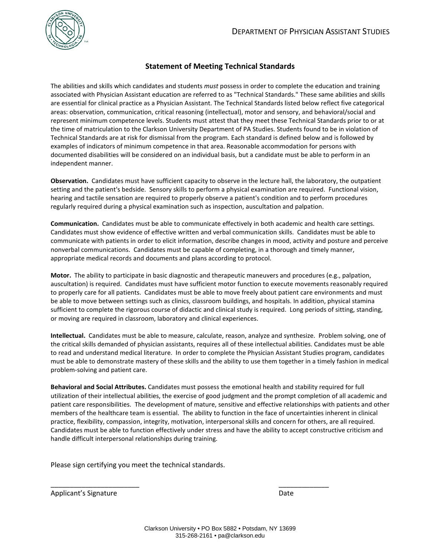

## **Statement of Meeting Technical Standards**

The abilities and skills which candidates and students *must* possess in order to complete the education and training associated with Physician Assistant education are referred to as "Technical Standards." These same abilities and skills are essential for clinical practice as a Physician Assistant. The Technical Standards listed below reflect five categorical areas: observation, communication, critical reasoning (intellectual), motor and sensory, and behavioral/social and represent minimum competence levels. Students must attest that they meet these Technical Standards prior to or at the time of matriculation to the Clarkson University Department of PA Studies. Students found to be in violation of Technical Standards are at risk for dismissal from the program. Each standard is defined below and is followed by examples of indicators of minimum competence in that area. Reasonable accommodation for persons with documented disabilities will be considered on an individual basis, but a candidate must be able to perform in an independent manner.

**Observation.** Candidates must have sufficient capacity to observe in the lecture hall, the laboratory, the outpatient setting and the patient's bedside. Sensory skills to perform a physical examination are required. Functional vision, hearing and tactile sensation are required to properly observe a patient's condition and to perform procedures regularly required during a physical examination such as inspection, auscultation and palpation.

**Communication.** Candidates must be able to communicate effectively in both academic and health care settings. Candidates must show evidence of effective written and verbal communication skills. Candidates must be able to communicate with patients in order to elicit information, describe changes in mood, activity and posture and perceive nonverbal communications. Candidates must be capable of completing, in a thorough and timely manner, appropriate medical records and documents and plans according to protocol.

**Motor.** The ability to participate in basic diagnostic and therapeutic maneuvers and procedures (e.g., palpation, auscultation) is required. Candidates must have sufficient motor function to execute movements reasonably required to properly care for all patients. Candidates must be able to move freely about patient care environments and must be able to move between settings such as clinics, classroom buildings, and hospitals. In addition, physical stamina sufficient to complete the rigorous course of didactic and clinical study is required. Long periods of sitting, standing, or moving are required in classroom, laboratory and clinical experiences.

**Intellectual.** Candidates must be able to measure, calculate, reason, analyze and synthesize. Problem solving, one of the critical skills demanded of physician assistants, requires all of these intellectual abilities. Candidates must be able to read and understand medical literature. In order to complete the Physician Assistant Studies program, candidates must be able to demonstrate mastery of these skills and the ability to use them together in a timely fashion in medical problem-solving and patient care.

**Behavioral and Social Attributes.** Candidates must possess the emotional health and stability required for full utilization of their intellectual abilities, the exercise of good judgment and the prompt completion of all academic and patient care responsibilities. The development of mature, sensitive and effective relationships with patients and other members of the healthcare team is essential. The ability to function in the face of uncertainties inherent in clinical practice, flexibility, compassion, integrity, motivation, interpersonal skills and concern for others, are all required. Candidates must be able to function effectively under stress and have the ability to accept constructive criticism and handle difficult interpersonal relationships during training.

Please sign certifying you meet the technical standards.

Applicant's Signature Date Date Date

\_\_\_\_\_\_\_\_\_\_\_\_\_\_\_\_\_\_\_\_\_\_\_ \_\_\_\_\_\_\_\_\_\_\_\_\_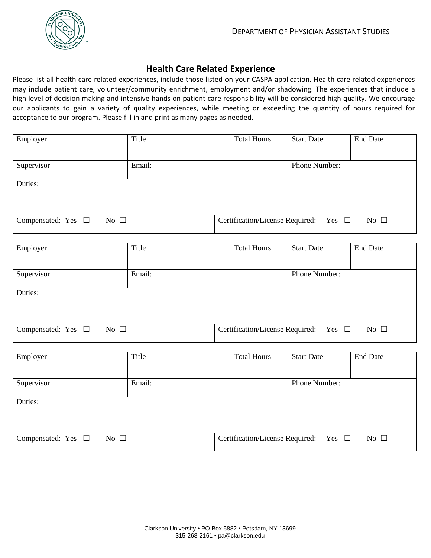

# **Health Care Related Experience**

Please list all health care related experiences, include those listed on your CASPA application. Health care related experiences may include patient care, volunteer/community enrichment, employment and/or shadowing. The experiences that include a high level of decision making and intensive hands on patient care responsibility will be considered high quality. We encourage our applicants to gain a variety of quality experiences, while meeting or exceeding the quantity of hours required for acceptance to our program. Please fill in and print as many pages as needed.

| Employer                                   | Title  | <b>Total Hours</b>              | <b>Start Date</b> | <b>End Date</b> |
|--------------------------------------------|--------|---------------------------------|-------------------|-----------------|
|                                            |        |                                 |                   |                 |
| Supervisor                                 | Email: |                                 | Phone Number:     |                 |
| Duties:                                    |        |                                 |                   |                 |
|                                            |        |                                 |                   |                 |
| No $\square$<br>Compensated: Yes $\square$ |        | Certification/License Required: | Yes $\Box$        | No $\Box$       |

| Employer                                | Title  | <b>Total Hours</b>                            | <b>Start Date</b> | <b>End Date</b> |
|-----------------------------------------|--------|-----------------------------------------------|-------------------|-----------------|
| Supervisor                              | Email: |                                               | Phone Number:     |                 |
| Duties:                                 |        |                                               |                   |                 |
|                                         |        |                                               |                   |                 |
| Compensated: Yes $\square$<br>No $\Box$ |        | Certification/License Required: Yes $\square$ |                   | No $\Box$       |

| Employer                                   | Title  | <b>Total Hours</b>                            | <b>Start Date</b> | <b>End Date</b> |
|--------------------------------------------|--------|-----------------------------------------------|-------------------|-----------------|
| Supervisor                                 | Email: |                                               | Phone Number:     |                 |
| Duties:                                    |        |                                               |                   |                 |
|                                            |        |                                               |                   |                 |
| Compensated: Yes $\square$<br>No $\square$ |        | Certification/License Required: Yes $\square$ |                   | No $\Box$       |